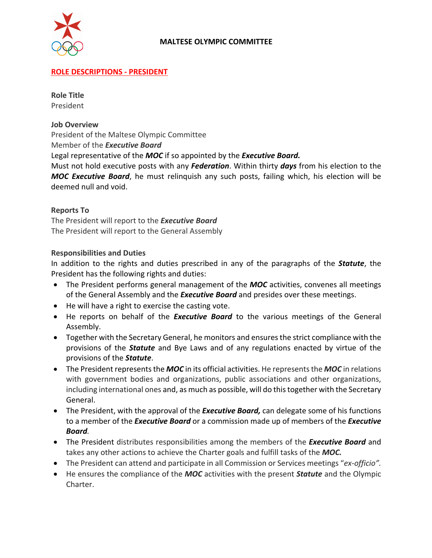

### **ROLE DESCRIPTIONS - PRESIDENT**

**Role Title** President

#### **Job Overview**

President of the Maltese Olympic Committee

Member of the *Executive Board*

Legal representative of the *MOC* if so appointed by the *Executive Board.* 

Must not hold executive posts with any *Federation*. Within thirty *days* from his election to the *MOC Executive Board*, he must relinquish any such posts, failing which, his election will be deemed null and void.

#### **Reports To**

The President will report to the *Executive Board* The President will report to the General Assembly

#### **Responsibilities and Duties**

In addition to the rights and duties prescribed in any of the paragraphs of the *Statute*, the President has the following rights and duties:

- The President performs general management of the *MOC* activities, convenes all meetings of the General Assembly and the *Executive Board* and presides over these meetings.
- He will have a right to exercise the casting vote.
- He reports on behalf of the *Executive Board* to the various meetings of the General Assembly.
- Together with the Secretary General, he monitors and ensures the strict compliance with the provisions of the *Statute* and Bye Laws and of any regulations enacted by virtue of the provisions of the *Statute*.
- The President represents the *MOC* in its official activities. He represents the *MOC* in relations with government bodies and organizations, public associations and other organizations, including international ones and, as much as possible, will do this together with the Secretary General.
- The President, with the approval of the *Executive Board,* can delegate some of his functions to a member of the *Executive Board* or a commission made up of members of the *Executive Board.*
- The President distributes responsibilities among the members of the *Executive Board* and takes any other actions to achieve the Charter goals and fulfill tasks of the *MOC.*
- The President can attend and participate in all Commission or Services meetings "*ex-officio".*
- He ensures the compliance of the *MOC* activities with the present *Statute* and the Olympic Charter.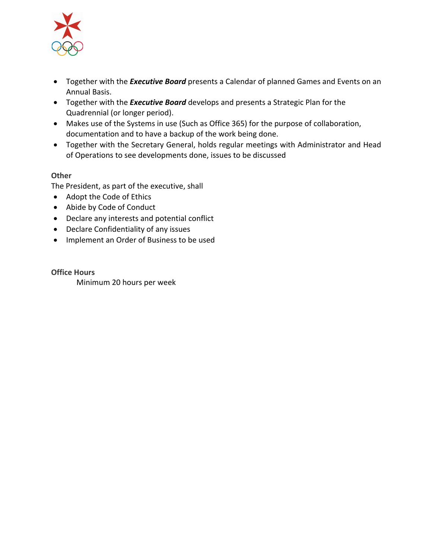

- Together with the *Executive Board* presents a Calendar of planned Games and Events on an Annual Basis.
- Together with the *Executive Board* develops and presents a Strategic Plan for the Quadrennial (or longer period).
- Makes use of the Systems in use (Such as Office 365) for the purpose of collaboration, documentation and to have a backup of the work being done.
- Together with the Secretary General, holds regular meetings with Administrator and Head of Operations to see developments done, issues to be discussed

The President, as part of the executive, shall

- Adopt the Code of Ethics
- Abide by Code of Conduct
- Declare any interests and potential conflict
- Declare Confidentiality of any issues
- Implement an Order of Business to be used

**Office Hours** Minimum 20 hours per week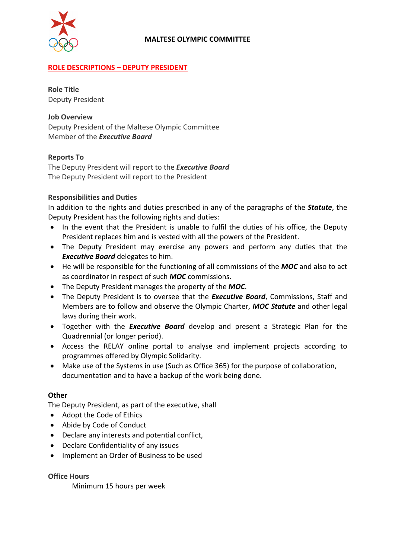

# **ROLE DESCRIPTIONS – DEPUTY PRESIDENT**

**Role Title** Deputy President

### **Job Overview**

Deputy President of the Maltese Olympic Committee Member of the *Executive Board*

## **Reports To**

The Deputy President will report to the *Executive Board* The Deputy President will report to the President

### **Responsibilities and Duties**

In addition to the rights and duties prescribed in any of the paragraphs of the *Statute*, the Deputy President has the following rights and duties:

- In the event that the President is unable to fulfil the duties of his office, the Deputy President replaces him and is vested with all the powers of the President.
- The Deputy President may exercise any powers and perform any duties that the *Executive Board* delegates to him.
- He will be responsible for the functioning of all commissions of the *MOC* and also to act as coordinator in respect of such *MOC* commissions.
- The Deputy President manages the property of the *MOC*.
- The Deputy President is to oversee that the *Executive Board*, Commissions, Staff and Members are to follow and observe the Olympic Charter, *MOC Statute* and other legal laws during their work.
- Together with the *Executive Board* develop and present a Strategic Plan for the Quadrennial (or longer period).
- Access the RELAY online portal to analyse and implement projects according to programmes offered by Olympic Solidarity.
- Make use of the Systems in use (Such as Office 365) for the purpose of collaboration, documentation and to have a backup of the work being done.

#### **Other**

The Deputy President, as part of the executive, shall

- Adopt the Code of Ethics
- Abide by Code of Conduct
- Declare any interests and potential conflict,
- Declare Confidentiality of any issues
- Implement an Order of Business to be used

## **Office Hours**

Minimum 15 hours per week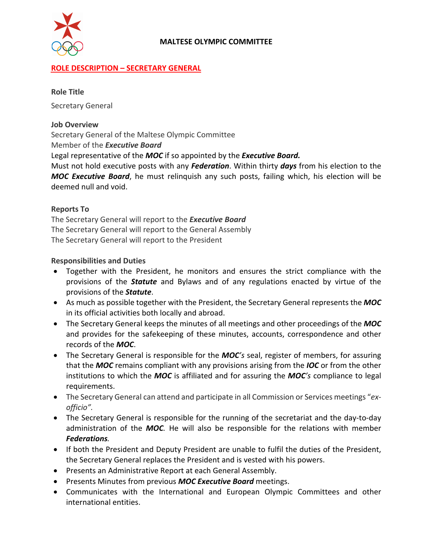

## **ROLE DESCRIPTION – SECRETARY GENERAL**

#### **Role Title**

Secretary General

#### **Job Overview**

Secretary General of the Maltese Olympic Committee

Member of the *Executive Board*

Legal representative of the *MOC* if so appointed by the *Executive Board.* 

Must not hold executive posts with any *Federation*. Within thirty *days* from his election to the *MOC Executive Board*, he must relinquish any such posts, failing which, his election will be deemed null and void.

#### **Reports To**

The Secretary General will report to the *Executive Board* The Secretary General will report to the General Assembly The Secretary General will report to the President

#### **Responsibilities and Duties**

- Together with the President, he monitors and ensures the strict compliance with the provisions of the *Statute* and Bylaws and of any regulations enacted by virtue of the provisions of the *Statute*.
- As much as possible together with the President, the Secretary General represents the *MOC* in its official activities both locally and abroad.
- The Secretary General keeps the minutes of all meetings and other proceedings of the *MOC* and provides for the safekeeping of these minutes, accounts, correspondence and other records of the *MOC*.
- The Secretary General is responsible for the *MOC's* seal, register of members, for assuring that the *MOC* remains compliant with any provisions arising from the *IOC* or from the other institutions to which the *MOC* is affiliated and for assuring the *MOC's* compliance to legal requirements.
- The Secretary General can attend and participate in all Commission or Services meetings "*exofficio".*
- The Secretary General is responsible for the running of the secretariat and the day-to-day administration of the *MOC.* He will also be responsible for the relations with member *Federations.*
- If both the President and Deputy President are unable to fulfil the duties of the President, the Secretary General replaces the President and is vested with his powers.
- Presents an Administrative Report at each General Assembly.
- Presents Minutes from previous *MOC Executive Board* meetings.
- Communicates with the International and European Olympic Committees and other international entities.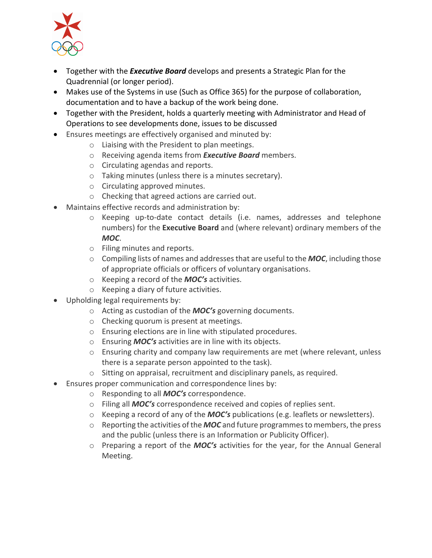

- Together with the *Executive Board* develops and presents a Strategic Plan for the Quadrennial (or longer period).
- Makes use of the Systems in use (Such as Office 365) for the purpose of collaboration, documentation and to have a backup of the work being done.
- Together with the President, holds a quarterly meeting with Administrator and Head of Operations to see developments done, issues to be discussed
- Ensures meetings are effectively organised and minuted by:
	- o Liaising with the President to plan meetings.
	- o Receiving agenda items from *Executive Board* members.
	- o Circulating agendas and reports.
	- o Taking minutes (unless there is a minutes secretary).
	- o Circulating approved minutes.
	- o Checking that agreed actions are carried out.
- Maintains effective records and administration by:
	- o Keeping up-to-date contact details (i.e. names, addresses and telephone numbers) for the **Executive Board** and (where relevant) ordinary members of the *MOC*.
	- o Filing minutes and reports.
	- o Compiling lists of names and addresses that are useful to the *MOC*, including those of appropriate officials or officers of voluntary organisations.
	- o Keeping a record of the *MOC's* activities.
	- o Keeping a diary of future activities.
- Upholding legal requirements by:
	- o Acting as custodian of the *MOC's* governing documents.
	- o Checking quorum is present at meetings.
	- o Ensuring elections are in line with stipulated procedures.
	- o Ensuring *MOC's* activities are in line with its objects.
	- $\circ$  Ensuring charity and company law requirements are met (where relevant, unless there is a separate person appointed to the task).
	- o Sitting on appraisal, recruitment and disciplinary panels, as required.
- Ensures proper communication and correspondence lines by:
	- o Responding to all *MOC's* correspondence.
	- o Filing all *MOC's* correspondence received and copies of replies sent.
	- o Keeping a record of any of the *MOC's* publications (e.g. leaflets or newsletters).
	- $\circ$  Reporting the activities of the **MOC** and future programmes to members, the press and the public (unless there is an Information or Publicity Officer).
	- o Preparing a report of the *MOC's* activities for the year, for the Annual General Meeting.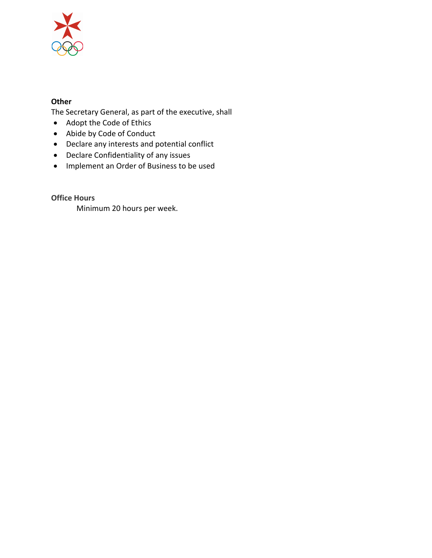

The Secretary General, as part of the executive, shall

- Adopt the Code of Ethics
- Abide by Code of Conduct
- Declare any interests and potential conflict
- Declare Confidentiality of any issues
- Implement an Order of Business to be used

**Office Hours**

Minimum 20 hours per week.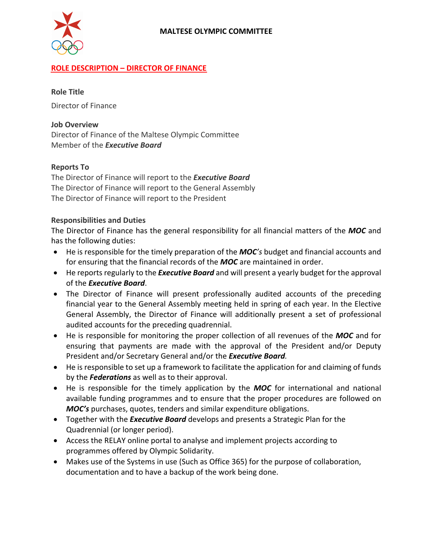

## **ROLE DESCRIPTION – DIRECTOR OF FINANCE**

#### **Role Title**

Director of Finance

### **Job Overview**

Director of Finance of the Maltese Olympic Committee Member of the *Executive Board*

### **Reports To**

The Director of Finance will report to the *Executive Board* The Director of Finance will report to the General Assembly The Director of Finance will report to the President

### **Responsibilities and Duties**

The Director of Finance has the general responsibility for all financial matters of the *MOC* and has the following duties:

- He is responsible for the timely preparation of the *MOC's* budget and financial accounts and for ensuring that the financial records of the *MOC* are maintained in order.
- He reports regularly to the *Executive Board* and will present a yearly budget for the approval of the *Executive Board*.
- The Director of Finance will present professionally audited accounts of the preceding financial year to the General Assembly meeting held in spring of each year. In the Elective General Assembly, the Director of Finance will additionally present a set of professional audited accounts for the preceding quadrennial.
- He is responsible for monitoring the proper collection of all revenues of the *MOC* and for ensuring that payments are made with the approval of the President and/or Deputy President and/or Secretary General and/or the *Executive Board.*
- He is responsible to set up a framework to facilitate the application for and claiming of funds by the *Federations* as well as to their approval.
- He is responsible for the timely application by the *MOC* for international and national available funding programmes and to ensure that the proper procedures are followed on *MOC's* purchases, quotes, tenders and similar expenditure obligations.
- Together with the *Executive Board* develops and presents a Strategic Plan for the Quadrennial (or longer period).
- Access the RELAY online portal to analyse and implement projects according to programmes offered by Olympic Solidarity.
- Makes use of the Systems in use (Such as Office 365) for the purpose of collaboration, documentation and to have a backup of the work being done.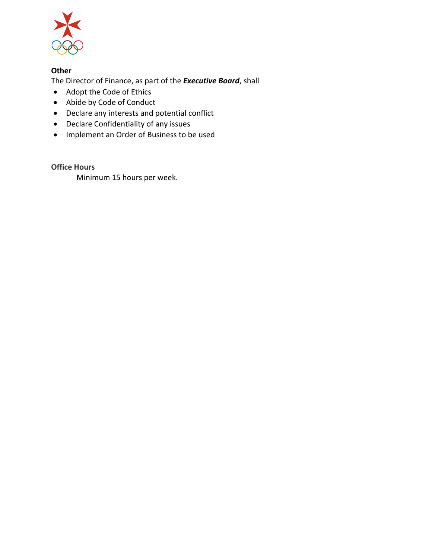

The Director of Finance, as part of the *Executive Board*, shall

- Adopt the Code of Ethics
- Abide by Code of Conduct
- Declare any interests and potential conflict
- Declare Confidentiality of any issues
- Implement an Order of Business to be used

**Office Hours**

Minimum 15 hours per week.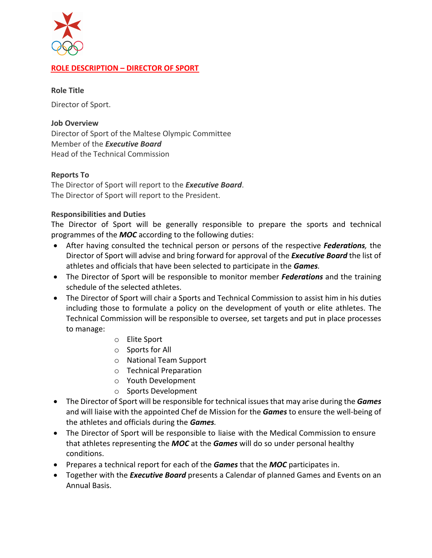

# **ROLE DESCRIPTION – DIRECTOR OF SPORT**

#### **Role Title**

Director of Sport.

#### **Job Overview**

Director of Sport of the Maltese Olympic Committee Member of the *Executive Board* Head of the Technical Commission

#### **Reports To**

The Director of Sport will report to the *Executive Board*. The Director of Sport will report to the President.

#### **Responsibilities and Duties**

The Director of Sport will be generally responsible to prepare the sports and technical programmes of the *MOC* according to the following duties:

- After having consulted the technical person or persons of the respective *Federations,* the Director of Sport will advise and bring forward for approval of the *Executive Board* the list of athletes and officials that have been selected to participate in the *Games.*
- The Director of Sport will be responsible to monitor member *Federations* and the training schedule of the selected athletes.
- The Director of Sport will chair a Sports and Technical Commission to assist him in his duties including those to formulate a policy on the development of youth or elite athletes. The Technical Commission will be responsible to oversee, set targets and put in place processes to manage:
	- o Elite Sport
	- o Sports for All
	- o National Team Support
	- o Technical Preparation
	- o Youth Development
	- o Sports Development
- The Director of Sport will be responsible for technical issues that may arise during the *Games* and will liaise with the appointed Chef de Mission for the *Games* to ensure the well-being of the athletes and officials during the *Games.*
- The Director of Sport will be responsible to liaise with the Medical Commission to ensure that athletes representing the *MOC* at the *Games* will do so under personal healthy conditions.
- Prepares a technical report for each of the *Games* that the *MOC* participates in.
- Together with the *Executive Board* presents a Calendar of planned Games and Events on an Annual Basis.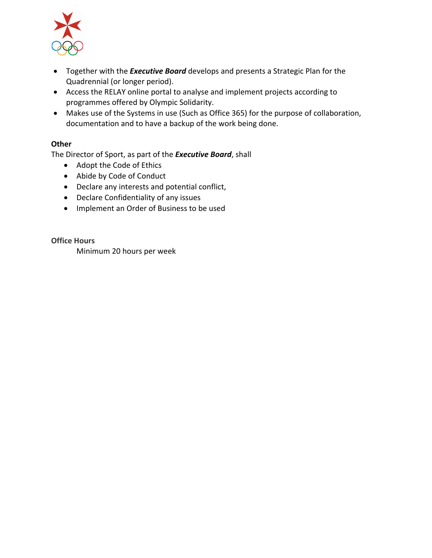

- Together with the *Executive Board* develops and presents a Strategic Plan for the Quadrennial (or longer period).
- Access the RELAY online portal to analyse and implement projects according to programmes offered by Olympic Solidarity.
- Makes use of the Systems in use (Such as Office 365) for the purpose of collaboration, documentation and to have a backup of the work being done.

The Director of Sport, as part of the *Executive Board*, shall

- Adopt the Code of Ethics
- Abide by Code of Conduct
- Declare any interests and potential conflict,
- Declare Confidentiality of any issues
- Implement an Order of Business to be used

**Office Hours**

Minimum 20 hours per week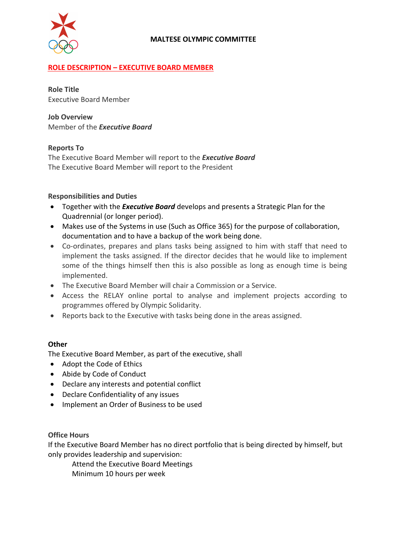

## **ROLE DESCRIPTION – EXECUTIVE BOARD MEMBER**

**Role Title** Executive Board Member

**Job Overview** Member of the *Executive Board*

### **Reports To**

The Executive Board Member will report to the *Executive Board* The Executive Board Member will report to the President

## **Responsibilities and Duties**

- Together with the *Executive Board* develops and presents a Strategic Plan for the Quadrennial (or longer period).
- Makes use of the Systems in use (Such as Office 365) for the purpose of collaboration, documentation and to have a backup of the work being done.
- Co-ordinates, prepares and plans tasks being assigned to him with staff that need to implement the tasks assigned. If the director decides that he would like to implement some of the things himself then this is also possible as long as enough time is being implemented.
- The Executive Board Member will chair a Commission or a Service.
- Access the RELAY online portal to analyse and implement projects according to programmes offered by Olympic Solidarity.
- Reports back to the Executive with tasks being done in the areas assigned.

## **Other**

The Executive Board Member, as part of the executive, shall

- Adopt the Code of Ethics
- Abide by Code of Conduct
- Declare any interests and potential conflict
- Declare Confidentiality of any issues
- Implement an Order of Business to be used

#### **Office Hours**

If the Executive Board Member has no direct portfolio that is being directed by himself, but only provides leadership and supervision:

Attend the Executive Board Meetings Minimum 10 hours per week